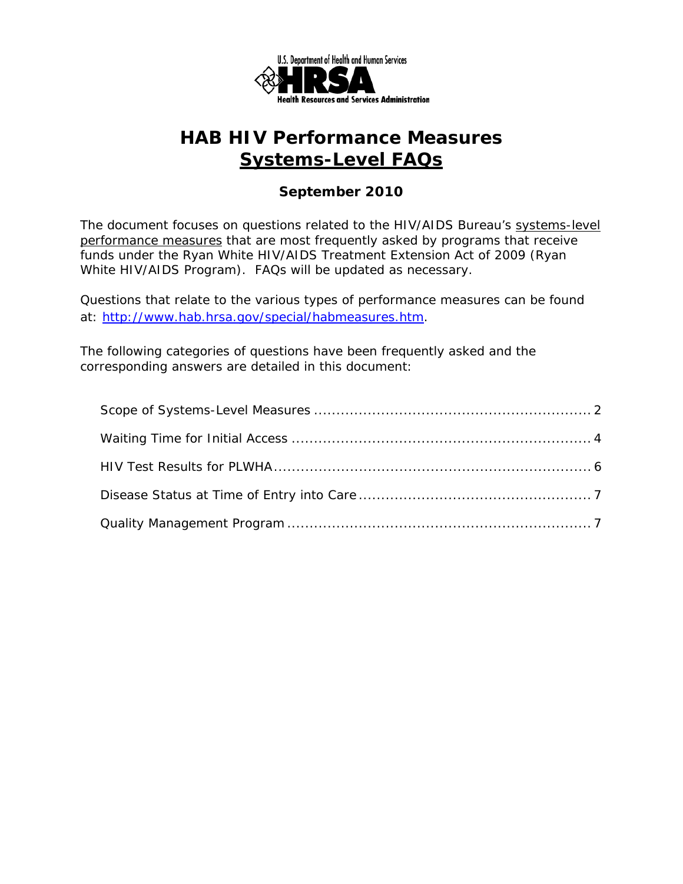

### *September 2010*

The document focuses on questions related to the HIV/AIDS Bureau's systems-level performance measures that are most frequently asked by programs that receive funds under the Ryan White HIV/AIDS Treatment Extension Act of 2009 (Ryan White HIV/AIDS Program). FAQs will be updated as necessary.

Questions that relate to the various types of performance measures can be found at: http://www.hab.hrsa.gov/special/habmeasures.htm.

The following categories of questions have been frequently asked and the corresponding answers are detailed in this document: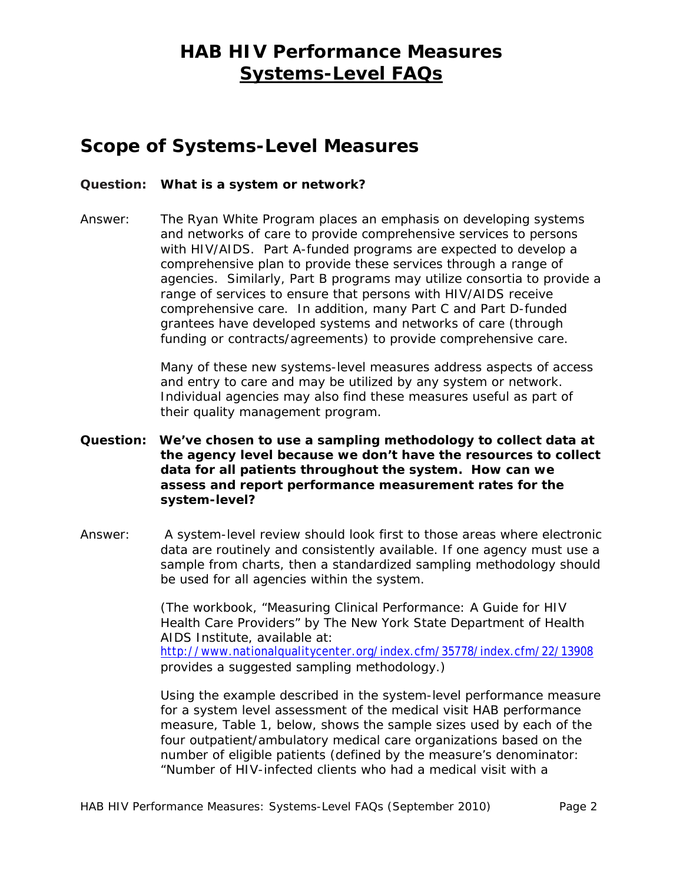### **Scope of Systems-Level Measures**

#### **Question: What is a system or network?**

Answer: The Ryan White Program places an emphasis on developing systems and networks of care to provide comprehensive services to persons with HIV/AIDS. Part A-funded programs are expected to develop a comprehensive plan to provide these services through a range of agencies. Similarly, Part B programs may utilize consortia to provide a range of services to ensure that persons with HIV/AIDS receive comprehensive care. In addition, many Part C and Part D-funded grantees have developed systems and networks of care (through funding or contracts/agreements) to provide comprehensive care.

> and entry to care and may be utilized by any system or network. Many of these new systems-level measures address aspects of access Individual agencies may also find these measures useful as part of their quality management program.

- **Question: We've chosen to use a sampling methodology to collect data at the agency level because we don't have the resources to collect data for all patients throughout the system. How can we assess and report performance measurement rates for the system-level?**
- Answer: be used for all agencies within the system. A system-level review should look first to those areas where electronic data are routinely and consistently available. If one agency must use a sample from charts, then a standardized sampling methodology should

(The workbook, "Measuring Clinical Performance: A Guide for HIV Health Care Providers" by The New York State Department of Health AIDS Institute, available at: http://www.nationalqualitycenter.org/index.cfm/35778/index.cfm/22/13908 provides a suggested sampling methodology.)

Using the example described in the system-level performance measure for a system level assessment of the medical visit HAB performance measure, Table 1, below, shows the sample sizes used by each of the four outpatient/ambulatory medical care organizations based on the number of eligible patients (defined by the measure's denominator: "Number of HIV-infected clients who had a medical visit with a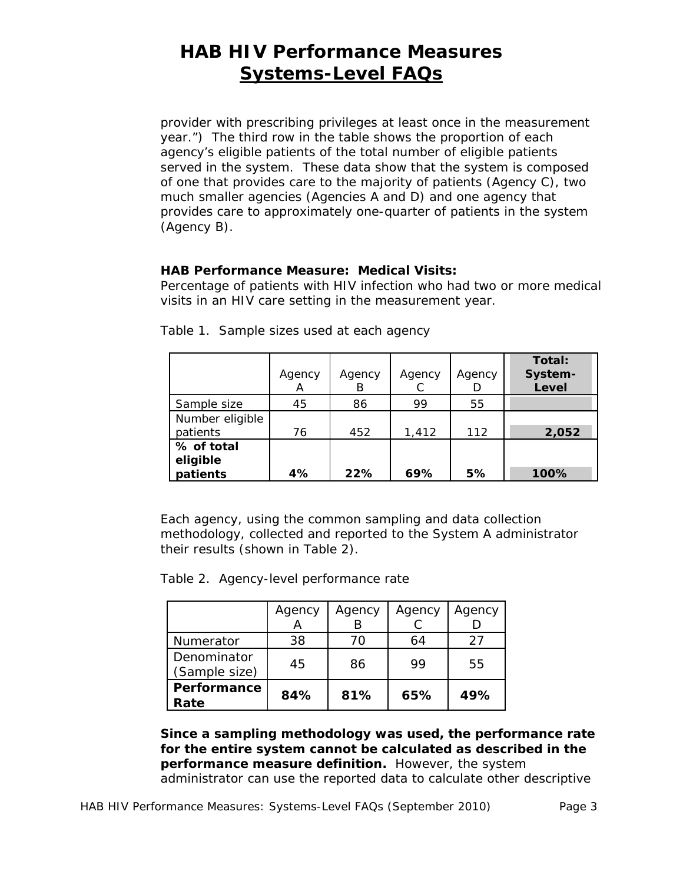provides care to approximately one-quarter of patients in the system provider with prescribing privileges at least once in the measurement year.") The third row in the table shows the proportion of each agency's eligible patients of the total number of eligible patients served in the system. These data show that the system is composed of one that provides care to the majority of patients (Agency C), two much smaller agencies (Agencies A and D) and one agency that (Agency B).

#### **HAB Performance Measure: Medical Visits:**

Percentage of patients with HIV infection who had two or more medical visits in an HIV care setting in the measurement year.

|                                    | Agency<br>А | Agency<br>В | Agency | Agency | Total:<br>System-<br>Level |
|------------------------------------|-------------|-------------|--------|--------|----------------------------|
| Sample size                        | 45          | 86          | 99     | 55     |                            |
| Number eligible<br>patients        | 76          | 452         | 1,412  | 112    | 2,052                      |
| % of total<br>eligible<br>patients | 4%          | 22%         | 69%    | 5%     | 100%                       |

Table 1. Sample sizes used at each agency

Each agency, using the common sampling and data collection methodology, collected and reported to the System A administrator their results (shown in Table 2).

Table 2. Agency-level performance rate

|                              | Agency | Agency | Agency | Agency |
|------------------------------|--------|--------|--------|--------|
| Numerator                    | 38     | 70     | 64     | 27     |
| Denominator<br>(Sample size) | 45     | 86     | 99     | 55     |
| Performance<br>Rate          | 84%    | 81%    | 65%    | 49%    |

 **performance measure definition.** However, the system **Since a sampling methodology was used, the performance rate for the entire system cannot be calculated as described in the**  administrator can use the reported data to calculate other descriptive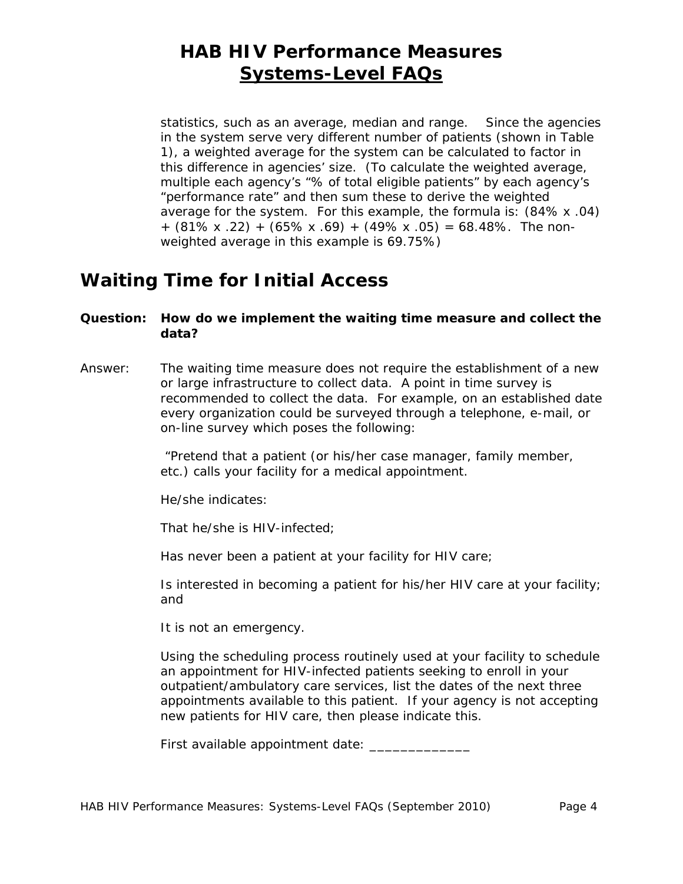statistics, such as an average, median and range. Since the agencies  $+$  (81% x .22) + (65% x .69) + (49% x .05) = 68.48%. The nonin the system serve very different number of patients (shown in Table 1), a weighted average for the system can be calculated to factor in this difference in agencies' size. (To calculate the weighted average, multiple each agency's "% of total eligible patients" by each agency's "performance rate" and then sum these to derive the weighted average for the system. For this example, the formula is: (84% x .04) weighted average in this example is 69.75%)

# **Waiting Time for Initial Access**

#### **Question: How do we implement the waiting time measure and collect the data?**

Answer: The waiting time measure does not require the establishment of a new or large infrastructure to collect data. A point in time survey is recommended to collect the data. For example, on an established date every organization could be surveyed through a telephone, e-mail, or on-line survey which poses the following:

> *"Pretend that a patient (or his/her case manager, family member, etc.) calls your facility for a medical appointment.*

*He/she indicates:* 

*That he/she is HIV-infected;* 

*Has never been a patient at your facility for HIV care;* 

*Is interested in becoming a patient for his/her HIV care at your facility; and* 

*It is not an emergency.* 

*Using the scheduling process routinely used at your facility to schedule an appointment for HIV-infected patients seeking to enroll in your outpatient/ambulatory care services, list the dates of the next three appointments available to this patient. If your agency is not accepting new patients for HIV care, then please indicate this.* 

*First available appointment date: \_\_\_\_\_\_\_\_\_\_\_\_\_*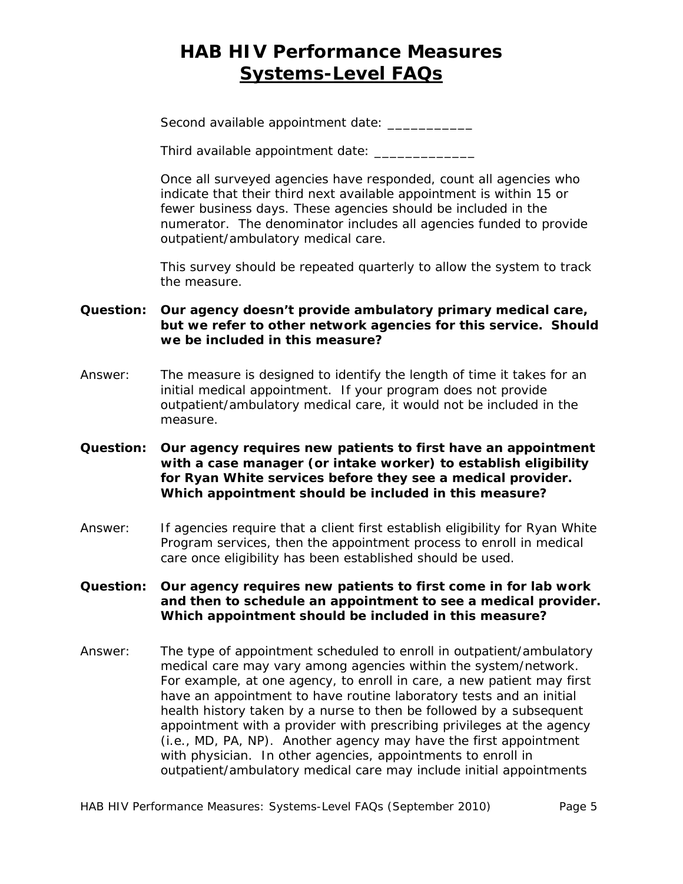Second available appointment date: \_\_\_\_\_\_\_\_\_\_\_

Third available appointment date: \_\_\_\_\_\_\_\_\_\_\_\_\_

Once all surveyed agencies have responded, count all agencies who indicate that their third next available appointment is within 15 or fewer business days. These agencies should be included in the numerator. The denominator includes all agencies funded to provide outpatient/ambulatory medical care.

This survey should be repeated quarterly to allow the system to track the measure.

#### **Question: Our agency doesn't provide ambulatory primary medical care, but we refer to other network agencies for this service. Should we be included in this measure?**

- Answer: The measure is designed to identify the length of time it takes for an initial medical appointment. If your program does not provide outpatient/ambulatory medical care, it would not be included in the measure.
- **Question: Our agency requires new patients to first have an appointment with a case manager (or intake worker) to establish eligibility for Ryan White services before they see a medical provider. Which appointment should be included in this measure?**
- Answer: If agencies require that a client first establish eligibility for Ryan White Program services, then the appointment process to enroll in medical care once eligibility has been established should be used.

#### **Question: Our agency requires new patients to first come in for lab work and then to schedule an appointment to see a medical provider. Which appointment should be included in this measure?**

Answer: The type of appointment scheduled to enroll in outpatient/ambulatory medical care may vary among agencies within the system/network. For example, at one agency, to enroll in care, a new patient may first have an appointment to have routine laboratory tests and an initial health history taken by a nurse to then be followed by a subsequent appointment with a provider with prescribing privileges at the agency (i.e., MD, PA, NP). Another agency may have the first appointment with physician. In other agencies, appointments to enroll in outpatient/ambulatory medical care may include initial appointments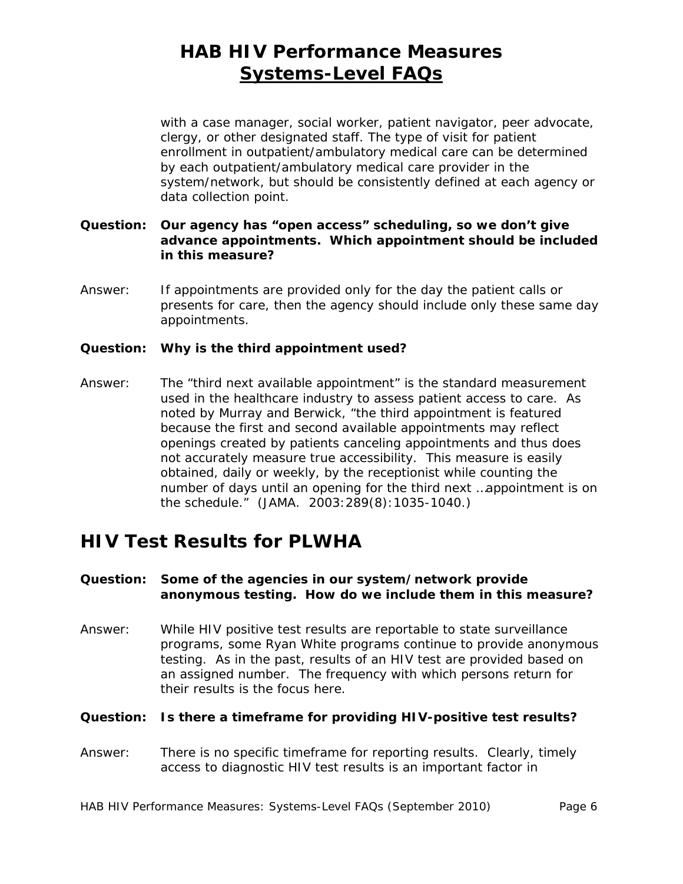with a case manager, social worker, patient navigator, peer advocate, clergy, or other designated staff. The type of visit for patient enrollment in outpatient/ambulatory medical care can be determined by each outpatient/ambulatory medical care provider in the system/network, but should be consistently defined at each agency or data collection point.

#### **Question: Our agency has "open access" scheduling, so we don't give advance appointments. Which appointment should be included in this measure?**

Answer: If appointments are provided only for the day the patient calls or presents for care, then the agency should include only these same day appointments.

#### **Question: Why is the third appointment used?**

Answer: The "third next available appointment" is the standard measurement used in the healthcare industry to assess patient access to care. As noted by Murray and Berwick, "the third appointment is featured because the first and second available appointments may reflect openings created by patients canceling appointments and thus does not accurately measure true accessibility. This measure is easily obtained, daily or weekly, by the receptionist while counting the number of days until an opening for the third next …appointment is on the schedule." (JAMA. 2003:289(8):1035-1040.)

## **HIV Test Results for PLWHA**

#### **Question: Some of the agencies in our system/network provide anonymous testing. How do we include them in this measure?**

Answer: While HIV positive test results are reportable to state surveillance programs, some Ryan White programs continue to provide anonymous testing. As in the past, results of an HIV test are provided based on an assigned number. The frequency with which persons return for their results is the focus here.

#### **Question: Is there a timeframe for providing HIV-positive test results?**

Answer: There is no specific timeframe for reporting results. Clearly, timely access to diagnostic HIV test results is an important factor in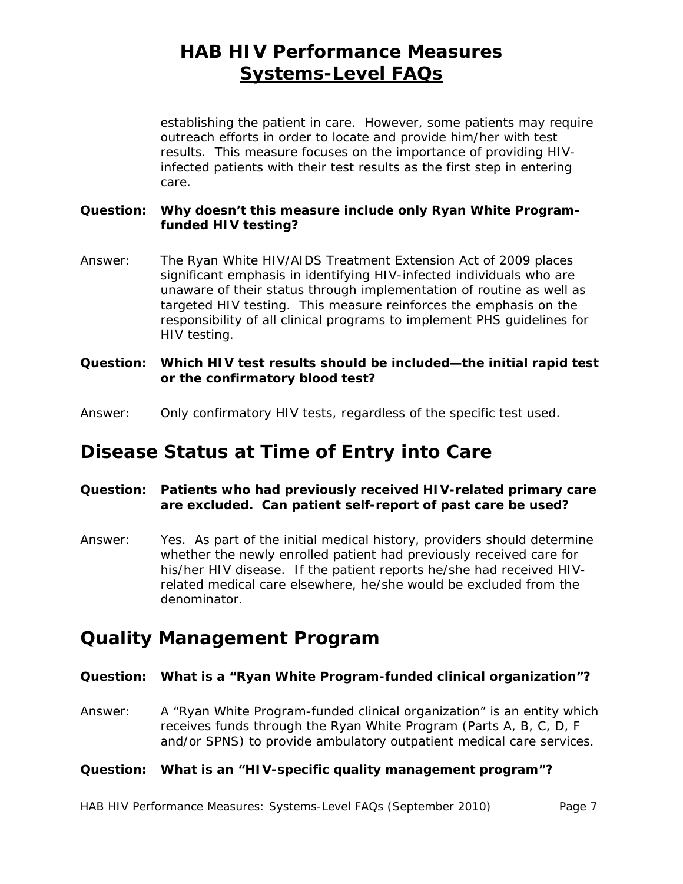results. This measure focuses on the importance of providing HIVestablishing the patient in care. However, some patients may require outreach efforts in order to locate and provide him/her with test infected patients with their test results as the first step in entering care.

#### **Question: Why doesn't this measure include only Ryan White Programfunded HIV testing?**

- Answer: The Ryan White HIV/AIDS Treatment Extension Act of 2009 places significant emphasis in identifying HIV-infected individuals who are unaware of their status through implementation of routine as well as targeted HIV testing. This measure reinforces the emphasis on the responsibility of all clinical programs to implement PHS guidelines for HIV testing.
- **Question: Which HIV test results should be included—the initial rapid test or the confirmatory blood test?**
- Answer: Only confirmatory HIV tests, regardless of the specific test used.

### **Disease Status at Time of Entry into Care**

#### **Question: Patients who had previously received HIV-related primary care are excluded. Can patient self-report of past care be used?**

Answer: Yes. As part of the initial medical history, providers should determine whether the newly enrolled patient had previously received care for his/her HIV disease. If the patient reports he/she had received HIVrelated medical care elsewhere, he/she would be excluded from the denominator.

### **Quality Management Program**

#### **Question: What is a "Ryan White Program-funded clinical organization"?**

Answer: A "Ryan White Program-funded clinical organization" is an entity which receives funds through the Ryan White Program (Parts A, B, C, D, F and/or SPNS) to provide ambulatory outpatient medical care services.

#### **Question: What is an "HIV-specific quality management program"?**

HAB HIV Performance Measures: Systems-Level FAQs (September 2010) Page 7